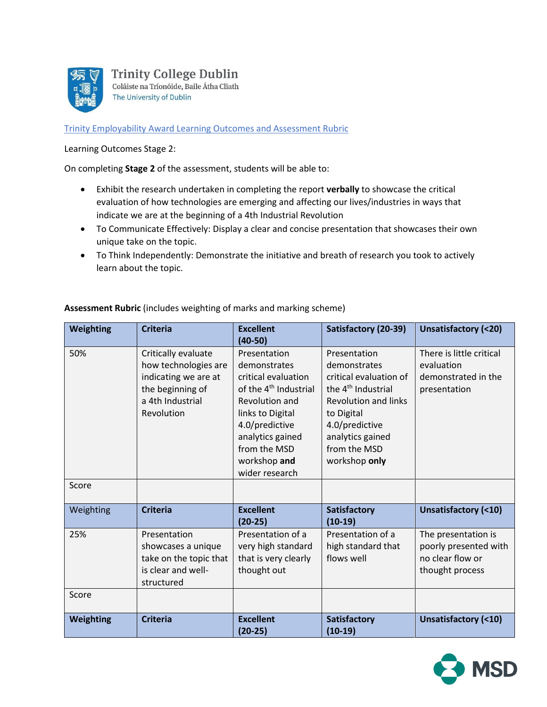

**Trinity College Dublin** Coláiste na Tríonóide, Baile Átha Cliath The University of Dublin

Trinity Employability Award Learning Outcomes and Assessment Rubric

Learning Outcomes Stage 2:

On completing **Stage 2** of the assessment, students will be able to:

- Exhibit the research undertaken in completing the report **verbally** to showcase the critical evaluation of how technologies are emerging and affecting our lives/industries in ways that indicate we are at the beginning of a [4th Industrial Revolution](http://www.amazon.com/Fourth-Industrial-Revolution-Klaus-Schwab-ebook/dp/B01AIT6SZ8)
- To Communicate Effectively: Display a clear and concise presentation that showcases their own unique take on the topic.
- To Think Independently: Demonstrate the initiative and breath of research you took to actively learn about the topic.

| Weighting | <b>Criteria</b>                                                                                                           | <b>Excellent</b><br>$(40-50)$                                                                                                                                                                                          | Satisfactory (20-39)                                                                                                                                                                                         | <b>Unsatisfactory (&lt;20)</b>                                                      |
|-----------|---------------------------------------------------------------------------------------------------------------------------|------------------------------------------------------------------------------------------------------------------------------------------------------------------------------------------------------------------------|--------------------------------------------------------------------------------------------------------------------------------------------------------------------------------------------------------------|-------------------------------------------------------------------------------------|
| 50%       | Critically evaluate<br>how technologies are<br>indicating we are at<br>the beginning of<br>a 4th Industrial<br>Revolution | Presentation<br>demonstrates<br>critical evaluation<br>of the 4 <sup>th</sup> Industrial<br>Revolution and<br>links to Digital<br>4.0/predictive<br>analytics gained<br>from the MSD<br>workshop and<br>wider research | Presentation<br>demonstrates<br>critical evaluation of<br>the 4 <sup>th</sup> Industrial<br><b>Revolution and links</b><br>to Digital<br>4.0/predictive<br>analytics gained<br>from the MSD<br>workshop only | There is little critical<br>evaluation<br>demonstrated in the<br>presentation       |
| Score     |                                                                                                                           |                                                                                                                                                                                                                        |                                                                                                                                                                                                              |                                                                                     |
| Weighting | <b>Criteria</b>                                                                                                           | <b>Excellent</b><br>$(20-25)$                                                                                                                                                                                          | Satisfactory<br>$(10-19)$                                                                                                                                                                                    | <b>Unsatisfactory (&lt;10)</b>                                                      |
| 25%       | Presentation<br>showcases a unique<br>take on the topic that<br>is clear and well-<br>structured                          | Presentation of a<br>very high standard<br>that is very clearly<br>thought out                                                                                                                                         | Presentation of a<br>high standard that<br>flows well                                                                                                                                                        | The presentation is<br>poorly presented with<br>no clear flow or<br>thought process |
| Score     |                                                                                                                           |                                                                                                                                                                                                                        |                                                                                                                                                                                                              |                                                                                     |
| Weighting | <b>Criteria</b>                                                                                                           | <b>Excellent</b><br>$(20-25)$                                                                                                                                                                                          | Satisfactory<br>$(10-19)$                                                                                                                                                                                    | Unsatisfactory (<10)                                                                |

## **Assessment Rubric** (includes weighting of marks and marking scheme)